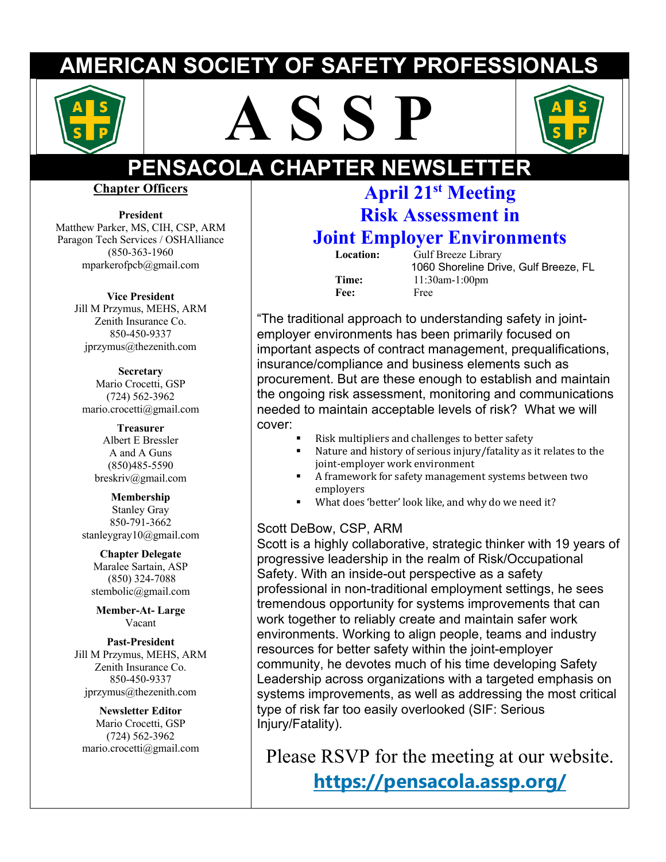## **AMERICAN SOCIETY OF SAFETY PROFESSIONALS**







# **PENSACOLA CHAPTER NEWSLETTER**

**Chapter Officers**

**President**  Matthew Parker, MS, CIH, CSP, ARM Paragon Tech Services / OSHAlliance (850-363-1960 mparkerofpcb@gmail.com

**Vice President**

Jill M Przymus, MEHS, ARM Zenith Insurance Co. 850-450-9337 jprzymus@thezenith.com

**Secretary** Mario Crocetti, GSP (724) 562-3962 mario.crocetti@gmail.com

> **Treasurer** Albert E Bressler A and A Guns (850)485-5590 breskriv@gmail.com

**Membership** Stanley Gray 850-791-3662 stanleygray10@gmail.com

**Chapter Delegate** Maralee Sartain, ASP (850) 324-7088 stembolic@gmail.com

**Member-At- Large** Vacant

**Past-President** Jill M Przymus, MEHS, ARM Zenith Insurance Co. 850-450-9337 jprzymus@thezenith.com

#### **Newsletter Editor** Mario Crocetti, GSP (724) 562-3962 mario.crocetti@gmail.com

## **April 21st Meeting Risk Assessment in**

## **Joint Employer Environments**

**Location:** Gulf Breeze Library 1060 Shoreline Drive, Gulf Breeze, FL **Time:** 11:30am-1:00pm **Fee:** Free

"The traditional approach to understanding safety in jointemployer environments has been primarily focused on important aspects of contract management, prequalifications, insurance/compliance and business elements such as procurement. But are these enough to establish and maintain the ongoing risk assessment, monitoring and communications needed to maintain acceptable levels of risk? What we will cover:

- Risk multipliers and challenges to better safety
- lacktriangled Mature and history of serious injury/fatality as it relates to the joint-employer work environment
- A framework for safety management systems between two employers
- What does 'better' look like, and why do we need it?

#### Scott DeBow, CSP, ARM

Scott is a highly collaborative, strategic thinker with 19 years of progressive leadership in the realm of Risk/Occupational Safety. With an inside-out perspective as a safety professional in non-traditional employment settings, he sees tremendous opportunity for systems improvements that can work together to reliably create and maintain safer work environments. Working to align people, teams and industry resources for better safety within the joint-employer community, he devotes much of his time developing Safety Leadership across organizations with a targeted emphasis on systems improvements, as well as addressing the most critical type of risk far too easily overlooked (SIF: Serious Injury/Fatality).

Please RSVP for the meeting at our website. **https://pensacola.assp.org/**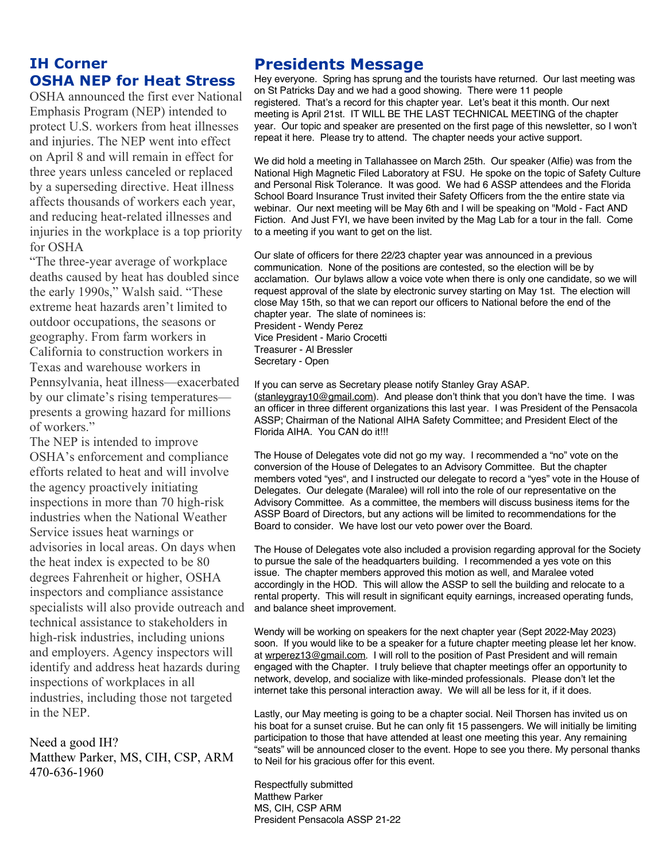#### **IH Corner OSHA NEP for Heat Stress**

OSHA announced the first ever National Emphasis Program (NEP) intended to protect U.S. workers from heat illnesses and injuries. The NEP went into effect on April 8 and will remain in effect for three years unless canceled or replaced by a superseding directive. Heat illness affects thousands of workers each year, and reducing heat-related illnesses and injuries in the workplace is a top priority for OSHA

"The three-year average of workplace deaths caused by heat has doubled since the early 1990s," Walsh said. "These extreme heat hazards aren't limited to outdoor occupations, the seasons or geography. From farm workers in California to construction workers in Texas and warehouse workers in Pennsylvania, heat illness—exacerbated by our climate's rising temperatures presents a growing hazard for millions of workers."

The NEP is intended to improve OSHA's enforcement and compliance efforts related to heat and will involve the agency proactively initiating inspections in more than 70 high-risk industries when the National Weather Service issues heat warnings or advisories in local areas. On days when the heat index is expected to be 80 degrees Fahrenheit or higher, OSHA inspectors and compliance assistance specialists will also provide outreach and technical assistance to stakeholders in high-risk industries, including unions and employers. Agency inspectors will identify and address heat hazards during inspections of workplaces in all industries, including those not targeted in the NEP.

Need a good IH? Matthew Parker, MS, CIH, CSP, ARM 470-636-1960

#### **Presidents Message**

Hey everyone. Spring has sprung and the tourists have returned. Our last meeting was on St Patricks Day and we had a good showing. There were 11 people registered. That's a record for this chapter year. Let's beat it this month. Our next meeting is April 21st. IT WILL BE THE LAST TECHNICAL MEETING of the chapter year. Our topic and speaker are presented on the first page of this newsletter, so I won't repeat it here. Please try to attend. The chapter needs your active support.

We did hold a meeting in Tallahassee on March 25th. Our speaker (Alfie) was from the National High Magnetic Filed Laboratory at FSU. He spoke on the topic of Safety Culture and Personal Risk Tolerance. It was good. We had 6 ASSP attendees and the Florida School Board Insurance Trust invited their Safety Officers from the the entire state via webinar. Our next meeting will be May 6th and I will be speaking on "Mold - Fact AND Fiction. And Just FYI, we have been invited by the Mag Lab for a tour in the fall. Come to a meeting if you want to get on the list.

Our slate of officers for there 22/23 chapter year was announced in a previous communication. None of the positions are contested, so the election will be by acclamation. Our bylaws allow a voice vote when there is only one candidate, so we will request approval of the slate by electronic survey starting on May 1st. The election will close May 15th, so that we can report our officers to National before the end of the chapter year. The slate of nominees is: President - Wendy Perez Vice President - Mario Crocetti Treasurer - Al Bressler Secretary - Open

If you can serve as Secretary please notify Stanley Gray ASAP. (stanleygray10@gmail.com). And please don't think that you don't have the time. I was an officer in three different organizations this last year. I was President of the Pensacola ASSP; Chairman of the National AIHA Safety Committee; and President Elect of the Florida AIHA. You CAN do it!!!

The House of Delegates vote did not go my way. I recommended a "no" vote on the conversion of the House of Delegates to an Advisory Committee. But the chapter members voted "yes", and I instructed our delegate to record a "yes" vote in the House of Delegates. Our delegate (Maralee) will roll into the role of our representative on the Advisory Committee. As a committee, the members will discuss business items for the ASSP Board of Directors, but any actions will be limited to recommendations for the Board to consider. We have lost our veto power over the Board.

The House of Delegates vote also included a provision regarding approval for the Society to pursue the sale of the headquarters building. I recommended a yes vote on this issue. The chapter members approved this motion as well, and Maralee voted accordingly in the HOD. This will allow the ASSP to sell the building and relocate to a rental property. This will result in significant equity earnings, increased operating funds, and balance sheet improvement.

Wendy will be working on speakers for the next chapter year (Sept 2022-May 2023) soon. If you would like to be a speaker for a future chapter meeting please let her know. at wrperez13@gmail.com. I will roll to the position of Past President and will remain engaged with the Chapter. I truly believe that chapter meetings offer an opportunity to network, develop, and socialize with like-minded professionals. Please don't let the internet take this personal interaction away. We will all be less for it, if it does.

Lastly, our May meeting is going to be a chapter social. Neil Thorsen has invited us on his boat for a sunset cruise. But he can only fit 15 passengers. We will initially be limiting participation to those that have attended at least one meeting this year. Any remaining "seats" will be announced closer to the event. Hope to see you there. My personal thanks to Neil for his gracious offer for this event.

Respectfully submitted Matthew Parker MS, CIH, CSP ARM President Pensacola ASSP 21-22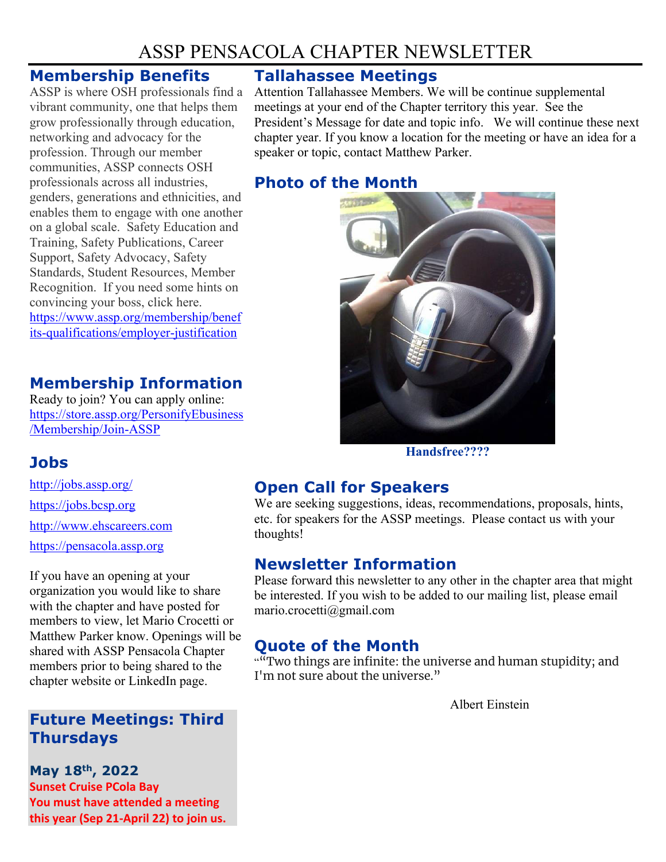## ASSP PENSACOLA CHAPTER NEWSLETTER

#### **Membership Benefits**

ASSP is where OSH professionals find a vibrant community, one that helps them grow professionally through education, networking and advocacy for the profession. Through our member communities, ASSP connects OSH professionals across all industries, genders, generations and ethnicities, and enables them to engage with one another on a global scale. Safety Education and Training, Safety Publications, Career Support, Safety Advocacy, Safety Standards, Student Resources, Member Recognition. If you need some hints on convincing your boss, click here. https://www.assp.org/membership/benef its-qualifications/employer-justification

## **Membership Information**

Ready to join? You can apply online: https://store.assp.org/PersonifyEbusiness /Membership/Join-ASSP

## **Jobs**

http://jobs.assp.org/ https://jobs.bcsp.org http://www.ehscareers.com https://pensacola.assp.org

If you have an opening at your organization you would like to share with the chapter and have posted for members to view, let Mario Crocetti or Matthew Parker know. Openings will be shared with ASSP Pensacola Chapter members prior to being shared to the chapter website or LinkedIn page.

## **Future Meetings: Third Thursdays**

**May 18th, 2022 Sunset Cruise PCola Bay You must have attended a meeting this year (Sep 21-April 22) to join us.** 

#### **Tallahassee Meetings**

Attention Tallahassee Members. We will be continue supplemental meetings at your end of the Chapter territory this year. See the President's Message for date and topic info. We will continue these next chapter year. If you know a location for the meeting or have an idea for a speaker or topic, contact Matthew Parker.

### **Photo of the Month**



**Handsfree????**

## **Open Call for Speakers**

We are seeking suggestions, ideas, recommendations, proposals, hints, etc. for speakers for the ASSP meetings. Please contact us with your thoughts!

#### **Newsletter Information**

Please forward this newsletter to any other in the chapter area that might be interested. If you wish to be added to our mailing list, please email mario.crocetti@gmail.com

#### **Quote of the Month**

""Two things are infinite: the universe and human stupidity; and I'm not sure about the universe."

Albert Einstein